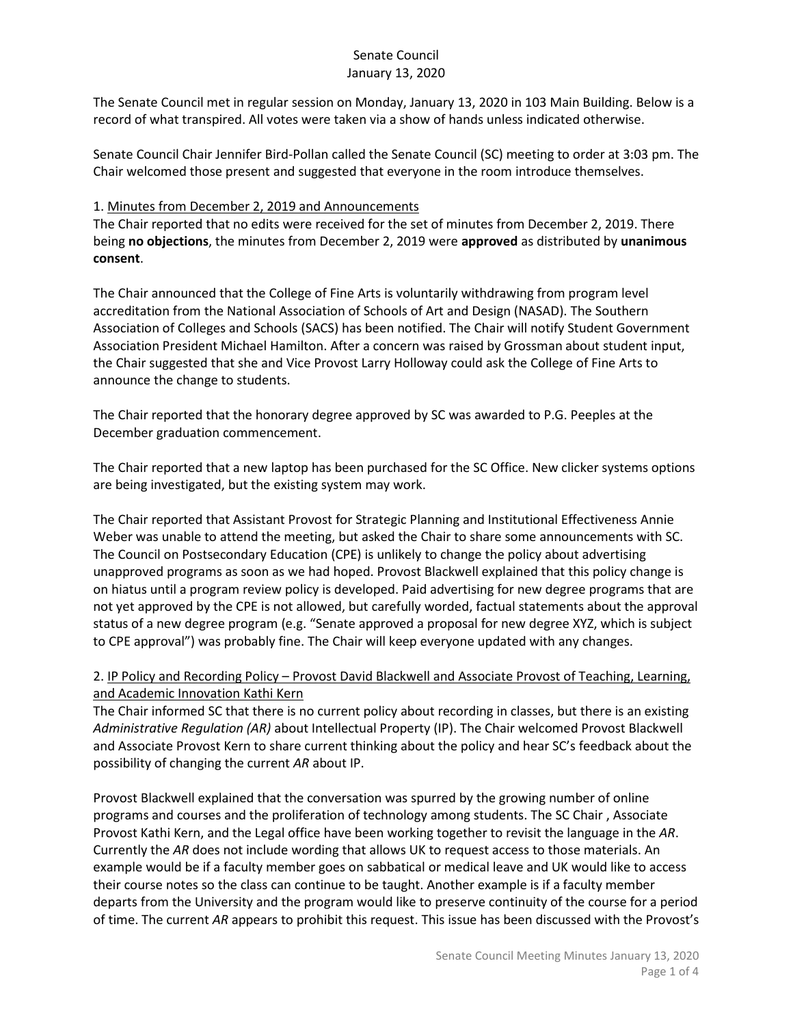The Senate Council met in regular session on Monday, January 13, 2020 in 103 Main Building. Below is a record of what transpired. All votes were taken via a show of hands unless indicated otherwise.

Senate Council Chair Jennifer Bird-Pollan called the Senate Council (SC) meeting to order at 3:03 pm. The Chair welcomed those present and suggested that everyone in the room introduce themselves.

#### 1. Minutes from December 2, 2019 and Announcements

The Chair reported that no edits were received for the set of minutes from December 2, 2019. There being **no objections**, the minutes from December 2, 2019 were **approved** as distributed by **unanimous consent**.

The Chair announced that the College of Fine Arts is voluntarily withdrawing from program level accreditation from the National Association of Schools of Art and Design (NASAD). The Southern Association of Colleges and Schools (SACS) has been notified. The Chair will notify Student Government Association President Michael Hamilton. After a concern was raised by Grossman about student input, the Chair suggested that she and Vice Provost Larry Holloway could ask the College of Fine Arts to announce the change to students.

The Chair reported that the honorary degree approved by SC was awarded to P.G. Peeples at the December graduation commencement.

The Chair reported that a new laptop has been purchased for the SC Office. New clicker systems options are being investigated, but the existing system may work.

The Chair reported that Assistant Provost for Strategic Planning and Institutional Effectiveness Annie Weber was unable to attend the meeting, but asked the Chair to share some announcements with SC. The Council on Postsecondary Education (CPE) is unlikely to change the policy about advertising unapproved programs as soon as we had hoped. Provost Blackwell explained that this policy change is on hiatus until a program review policy is developed. Paid advertising for new degree programs that are not yet approved by the CPE is not allowed, but carefully worded, factual statements about the approval status of a new degree program (e.g. "Senate approved a proposal for new degree XYZ, which is subject to CPE approval") was probably fine. The Chair will keep everyone updated with any changes.

2. IP Policy and Recording Policy – Provost David Blackwell and Associate Provost of Teaching, Learning, and Academic Innovation Kathi Kern

The Chair informed SC that there is no current policy about recording in classes, but there is an existing *Administrative Regulation (AR)* about Intellectual Property (IP). The Chair welcomed Provost Blackwell and Associate Provost Kern to share current thinking about the policy and hear SC's feedback about the possibility of changing the current *AR* about IP.

Provost Blackwell explained that the conversation was spurred by the growing number of online programs and courses and the proliferation of technology among students. The SC Chair , Associate Provost Kathi Kern, and the Legal office have been working together to revisit the language in the *AR*. Currently the *AR* does not include wording that allows UK to request access to those materials. An example would be if a faculty member goes on sabbatical or medical leave and UK would like to access their course notes so the class can continue to be taught. Another example is if a faculty member departs from the University and the program would like to preserve continuity of the course for a period of time. The current *AR* appears to prohibit this request. This issue has been discussed with the Provost's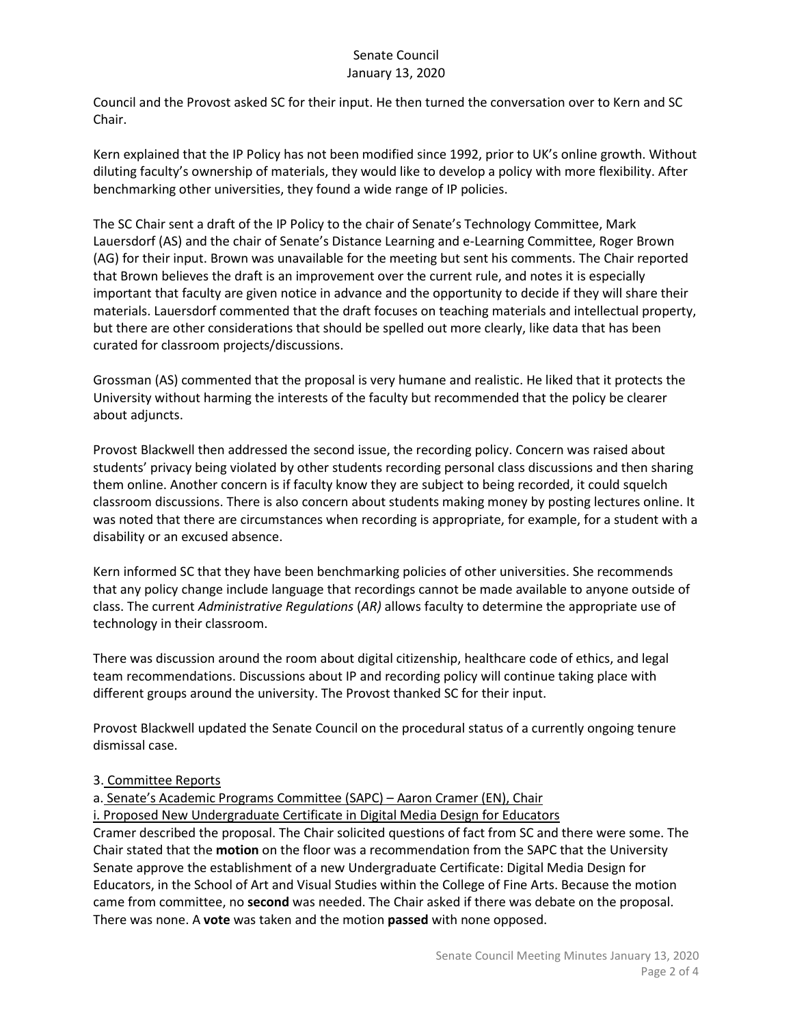Council and the Provost asked SC for their input. He then turned the conversation over to Kern and SC Chair.

Kern explained that the IP Policy has not been modified since 1992, prior to UK's online growth. Without diluting faculty's ownership of materials, they would like to develop a policy with more flexibility. After benchmarking other universities, they found a wide range of IP policies.

The SC Chair sent a draft of the IP Policy to the chair of Senate's Technology Committee, Mark Lauersdorf (AS) and the chair of Senate's Distance Learning and e-Learning Committee, Roger Brown (AG) for their input. Brown was unavailable for the meeting but sent his comments. The Chair reported that Brown believes the draft is an improvement over the current rule, and notes it is especially important that faculty are given notice in advance and the opportunity to decide if they will share their materials. Lauersdorf commented that the draft focuses on teaching materials and intellectual property, but there are other considerations that should be spelled out more clearly, like data that has been curated for classroom projects/discussions.

Grossman (AS) commented that the proposal is very humane and realistic. He liked that it protects the University without harming the interests of the faculty but recommended that the policy be clearer about adjuncts.

Provost Blackwell then addressed the second issue, the recording policy. Concern was raised about students' privacy being violated by other students recording personal class discussions and then sharing them online. Another concern is if faculty know they are subject to being recorded, it could squelch classroom discussions. There is also concern about students making money by posting lectures online. It was noted that there are circumstances when recording is appropriate, for example, for a student with a disability or an excused absence.

Kern informed SC that they have been benchmarking policies of other universities. She recommends that any policy change include language that recordings cannot be made available to anyone outside of class. The current *Administrative Regulations* (*AR)* allows faculty to determine the appropriate use of technology in their classroom.

There was discussion around the room about digital citizenship, healthcare code of ethics, and legal team recommendations. Discussions about IP and recording policy will continue taking place with different groups around the university. The Provost thanked SC for their input.

Provost Blackwell updated the Senate Council on the procedural status of a currently ongoing tenure dismissal case.

### 3. Committee Reports

### a. Senate's Academic Programs Committee (SAPC) – Aaron Cramer (EN), Chair

i. Proposed New Undergraduate Certificate in Digital Media Design for Educators

Cramer described the proposal. The Chair solicited questions of fact from SC and there were some. The Chair stated that the **motion** on the floor was a recommendation from the SAPC that the University Senate approve the establishment of a new Undergraduate Certificate: Digital Media Design for Educators, in the School of Art and Visual Studies within the College of Fine Arts. Because the motion came from committee, no **second** was needed. The Chair asked if there was debate on the proposal. There was none. A **vote** was taken and the motion **passed** with none opposed.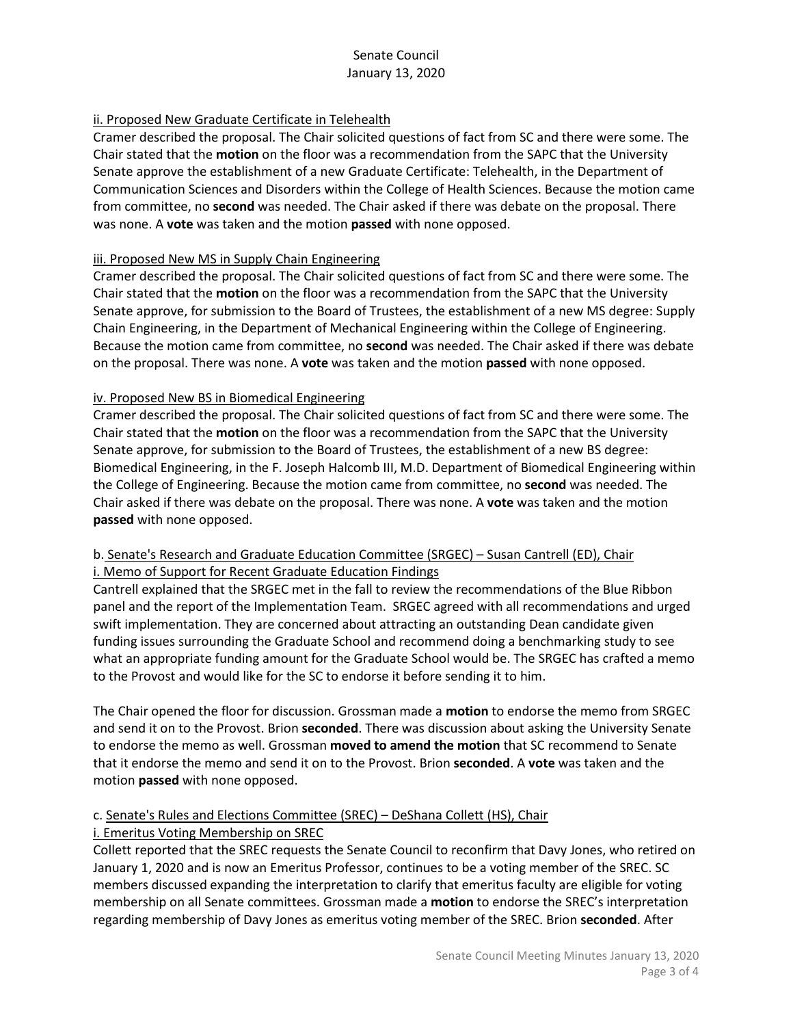## ii. Proposed New Graduate Certificate in Telehealth

Cramer described the proposal. The Chair solicited questions of fact from SC and there were some. The Chair stated that the **motion** on the floor was a recommendation from the SAPC that the University Senate approve the establishment of a new Graduate Certificate: Telehealth, in the Department of Communication Sciences and Disorders within the College of Health Sciences. Because the motion came from committee, no **second** was needed. The Chair asked if there was debate on the proposal. There was none. A **vote** was taken and the motion **passed** with none opposed.

### iii. Proposed New MS in Supply Chain Engineering

Cramer described the proposal. The Chair solicited questions of fact from SC and there were some. The Chair stated that the **motion** on the floor was a recommendation from the SAPC that the University Senate approve, for submission to the Board of Trustees, the establishment of a new MS degree: Supply Chain Engineering, in the Department of Mechanical Engineering within the College of Engineering. Because the motion came from committee, no **second** was needed. The Chair asked if there was debate on the proposal. There was none. A **vote** was taken and the motion **passed** with none opposed.

#### iv. Proposed New BS in Biomedical Engineering

Cramer described the proposal. The Chair solicited questions of fact from SC and there were some. The Chair stated that the **motion** on the floor was a recommendation from the SAPC that the University Senate approve, for submission to the Board of Trustees, the establishment of a new BS degree: Biomedical Engineering, in the F. Joseph Halcomb III, M.D. Department of Biomedical Engineering within the College of Engineering. Because the motion came from committee, no **second** was needed. The Chair asked if there was debate on the proposal. There was none. A **vote** was taken and the motion **passed** with none opposed.

# b. Senate's Research and Graduate Education Committee (SRGEC) – Susan Cantrell (ED), Chair i. Memo of Support for Recent Graduate Education Findings

Cantrell explained that the SRGEC met in the fall to review the recommendations of the Blue Ribbon panel and the report of the Implementation Team. SRGEC agreed with all recommendations and urged swift implementation. They are concerned about attracting an outstanding Dean candidate given funding issues surrounding the Graduate School and recommend doing a benchmarking study to see what an appropriate funding amount for the Graduate School would be. The SRGEC has crafted a memo to the Provost and would like for the SC to endorse it before sending it to him.

The Chair opened the floor for discussion. Grossman made a **motion** to endorse the memo from SRGEC and send it on to the Provost. Brion **seconded**. There was discussion about asking the University Senate to endorse the memo as well. Grossman **moved to amend the motion** that SC recommend to Senate that it endorse the memo and send it on to the Provost. Brion **seconded**. A **vote** was taken and the motion **passed** with none opposed.

#### c. Senate's Rules and Elections Committee (SREC) – DeShana Collett (HS), Chair i. Emeritus Voting Membership on SREC

Collett reported that the SREC requests the Senate Council to reconfirm that Davy Jones, who retired on January 1, 2020 and is now an Emeritus Professor, continues to be a voting member of the SREC. SC members discussed expanding the interpretation to clarify that emeritus faculty are eligible for voting membership on all Senate committees. Grossman made a **motion** to endorse the SREC's interpretation regarding membership of Davy Jones as emeritus voting member of the SREC. Brion **seconded**. After